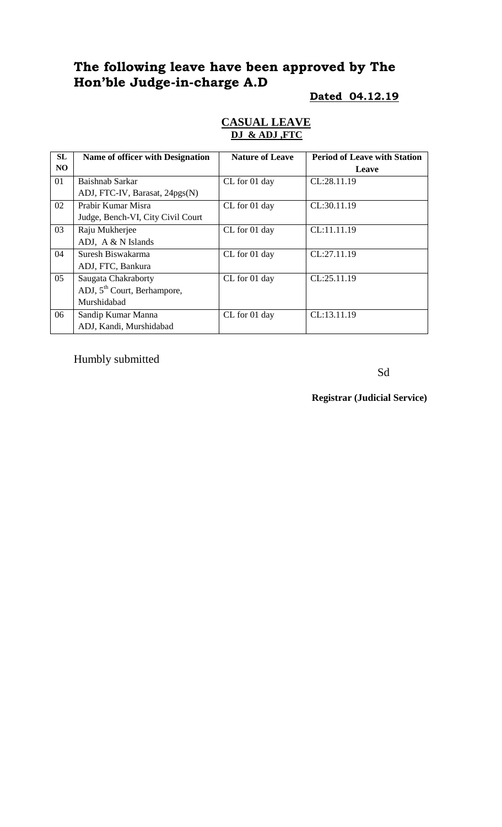# **The following leave have been approved by The Hon'ble Judge-in-charge A.D**

#### **Dated 04.12.19**

#### **CASUAL LEAVE DJ & ADJ ,FTC**

| SL  | Name of officer with Designation        | <b>Nature of Leave</b> |             |
|-----|-----------------------------------------|------------------------|-------------|
| NO. |                                         |                        | Leave       |
| 01  | Baishnab Sarkar                         | CL for 01 day          | CL:28.11.19 |
|     | ADJ, FTC-IV, Barasat, 24pgs(N)          |                        |             |
| 02  | Prabir Kumar Misra                      | CL for 01 day          | CL:30.11.19 |
|     | Judge, Bench-VI, City Civil Court       |                        |             |
| 03  | Raju Mukherjee                          | CL for 01 day          | CL:11.11.19 |
|     | ADJ, A & N Islands                      |                        |             |
| 04  | Suresh Biswakarma                       | CL for 01 day          | CL:27.11.19 |
|     | ADJ, FTC, Bankura                       |                        |             |
| 05  | Saugata Chakraborty                     | CL for 01 day          | CL:25.11.19 |
|     | ADJ, 5 <sup>th</sup> Court, Berhampore, |                        |             |
|     | Murshidabad                             |                        |             |
| 06  | Sandip Kumar Manna                      | CL for 01 day          | CL:13.11.19 |
|     | ADJ, Kandi, Murshidabad                 |                        |             |

Humbly submitted

Sd

**Registrar (Judicial Service)**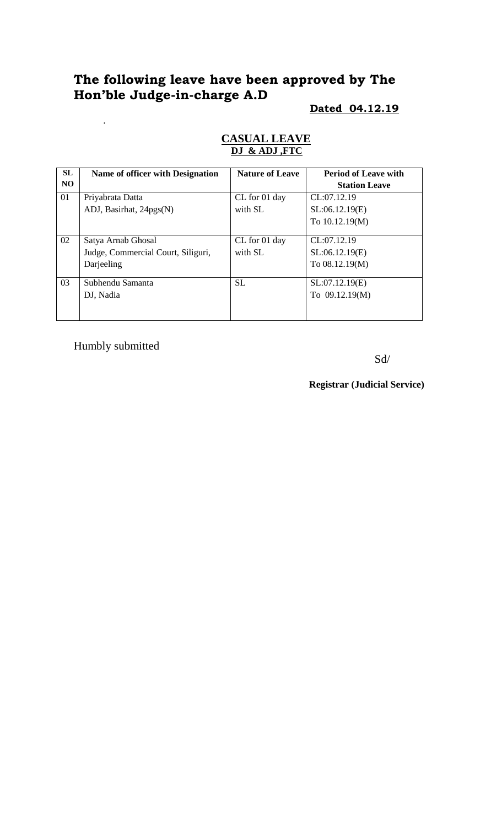# **The following leave have been approved by The Hon'ble Judge-in-charge A.D**

### **Dated 04.12.19**

| <b>SL</b>      | <b>Name of officer with Designation</b> | <b>Nature of Leave</b> | <b>Period of Leave with</b> |
|----------------|-----------------------------------------|------------------------|-----------------------------|
| N <sub>O</sub> |                                         |                        | <b>Station Leave</b>        |
| 01             | Priyabrata Datta                        | CL for 01 day          | CL:07.12.19                 |
|                | ADJ, Basirhat, 24pgs(N)                 | with SL                | SL:06.12.19(E)              |
|                |                                         |                        | To 10.12.19(M)              |
|                |                                         |                        |                             |
| 02             | Satya Arnab Ghosal                      | CL for 01 day          | CL:07.12.19                 |
|                | Judge, Commercial Court, Siliguri,      | with SL                | SL:06.12.19(E)              |
|                | Darjeeling                              |                        | To 08.12.19(M)              |
| 03             | Subhendu Samanta                        | <b>SL</b>              | SL:07.12.19(E)              |
|                | DJ, Nadia                               |                        | To 09.12.19(M)              |
|                |                                         |                        |                             |
|                |                                         |                        |                             |

#### **CASUAL LEAVE DJ & ADJ ,FTC**

Humbly submitted

.

Sd/

**Registrar (Judicial Service)**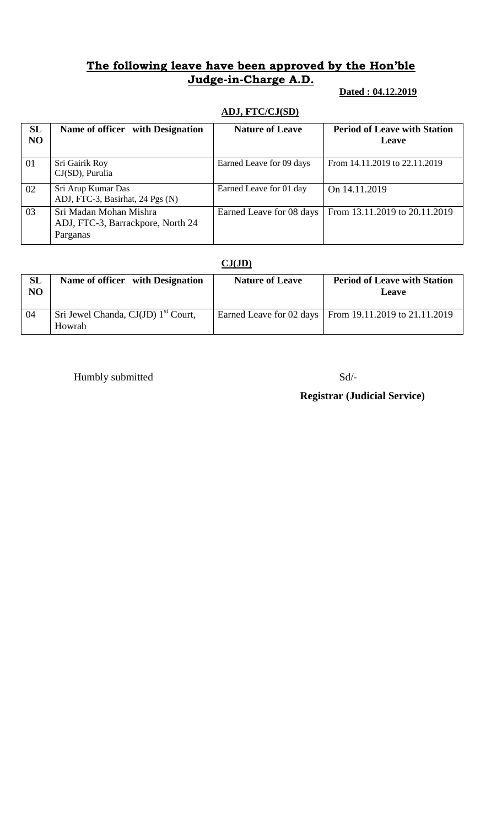## **The following leave have been approved by the Hon'ble Judge-in-Charge A.D.**

#### **Dated : 04.12.2019**

# **ADJ, FTC/CJ(SD)**

| SL<br><b>NO</b> | Name of officer with Designation                                        | <b>Nature of Leave</b>   | <b>Period of Leave with Station</b><br>Leave |
|-----------------|-------------------------------------------------------------------------|--------------------------|----------------------------------------------|
| 01              | Sri Gairik Roy<br>$CJ(SD)$ , Purulia                                    | Earned Leave for 09 days | From 14.11.2019 to 22.11.2019                |
| 02              | Sri Arup Kumar Das<br>ADJ, FTC-3, Basirhat, 24 Pgs (N)                  | Earned Leave for 01 day  | On 14.11.2019                                |
| 03              | Sri Madan Mohan Mishra<br>ADJ, FTC-3, Barrackpore, North 24<br>Parganas | Earned Leave for 08 days | From 13.11.2019 to 20.11.2019                |

#### **CJ(JD)**

| SL<br>NO | Name of officer with Designation                          | <b>Nature of Leave</b> | <b>Period of Leave with Station</b><br>Leave             |
|----------|-----------------------------------------------------------|------------------------|----------------------------------------------------------|
| 04       | Sri Jewel Chanda, CJ(JD) 1 <sup>st</sup> Court,<br>Howrah |                        | Earned Leave for 02 days   From 19.11.2019 to 21.11.2019 |

Humbly submitted Sd/-

# **Registrar (Judicial Service)**